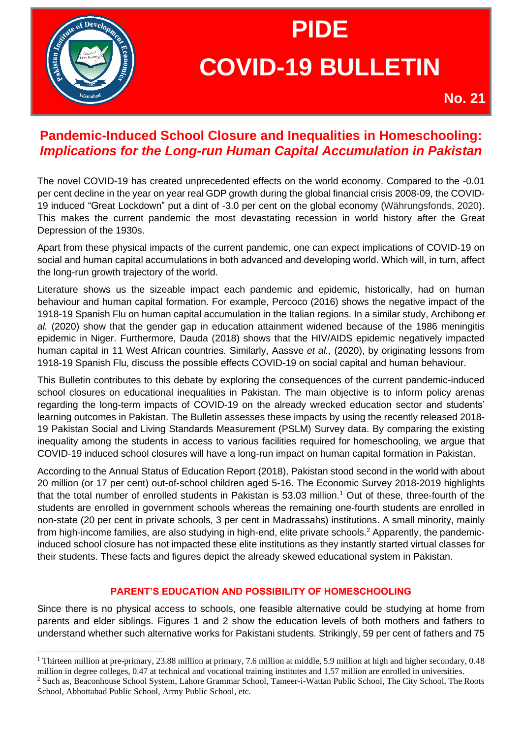

# **PIDE COVID-19 BULLETIN**

**No. 21**

# **Pandemic-Induced School Closure and Inequalities in Homeschooling:**  *Implications for the Long-run Human Capital Accumulation in Pakistan*

The novel COVID-19 has created unprecedented effects on the world economy. Compared to the -0.01 per cent decline in the year on year real GDP growth during the global financial crisis 2008-09, the COVID-19 induced "Great Lockdown" put a dint of -3.0 per cent on the global economy (Währungsfonds, 2020). This makes the current pandemic the most devastating recession in world history after the Great Depression of the 1930s.

Apart from these physical impacts of the current pandemic, one can expect implications of COVID-19 on social and human capital accumulations in both advanced and developing world. Which will, in turn, affect the long-run growth trajectory of the world.

Literature shows us the sizeable impact each pandemic and epidemic, historically, had on human behaviour and human capital formation. For example, Percoco (2016) shows the negative impact of the 1918-19 Spanish Flu on human capital accumulation in the Italian regions. In a similar study, Archibong *et al.* (2020) show that the gender gap in education attainment widened because of the 1986 meningitis epidemic in Niger. Furthermore, Dauda (2018) shows that the HIV/AIDS epidemic negatively impacted human capital in 11 West African countries. Similarly, Aassve *et al.,* (2020), by originating lessons from 1918-19 Spanish Flu, discuss the possible effects COVID-19 on social capital and human behaviour.

This Bulletin contributes to this debate by exploring the consequences of the current pandemic-induced school closures on educational inequalities in Pakistan. The main objective is to inform policy arenas regarding the long-term impacts of COVID-19 on the already wrecked education sector and students' learning outcomes in Pakistan. The Bulletin assesses these impacts by using the recently released 2018- 19 Pakistan Social and Living Standards Measurement (PSLM) Survey data. By comparing the existing inequality among the students in access to various facilities required for homeschooling, we argue that COVID-19 induced school closures will have a long-run impact on human capital formation in Pakistan.

According to the Annual Status of Education Report (2018), Pakistan stood second in the world with about 20 million (or 17 per cent) out-of-school children aged 5-16. The Economic Survey 2018-2019 highlights that the total number of enrolled students in Pakistan is 53.03 million. <sup>1</sup> Out of these, three-fourth of the students are enrolled in government schools whereas the remaining one-fourth students are enrolled in non-state (20 per cent in private schools, 3 per cent in Madrassahs) institutions. A small minority, mainly from high-income families, are also studying in high-end, elite private schools.<sup>2</sup> Apparently, the pandemicinduced school closure has not impacted these elite institutions as they instantly started virtual classes for their students. These facts and figures depict the already skewed educational system in Pakistan.

# **PARENT'S EDUCATION AND POSSIBILITY OF HOMESCHOOLING**

Since there is no physical access to schools, one feasible alternative could be studying at home from parents and elder siblings. Figures 1 and 2 show the education levels of both mothers and fathers to understand whether such alternative works for Pakistani students. Strikingly, 59 per cent of fathers and 75

<sup>&</sup>lt;sup>1</sup> Thirteen million at pre-primary, 23.88 million at primary, 7.6 million at middle, 5.9 million at high and higher secondary, 0.48 million in degree colleges, 0.47 at technical and vocational training institutes and 1.57 million are enrolled in universities.

<sup>2</sup> Such as, Beaconhouse School System, Lahore Grammar School, Tameer-i-Wattan Public School, The City School, The Roots School, Abbottabad Public School, Army Public School, etc.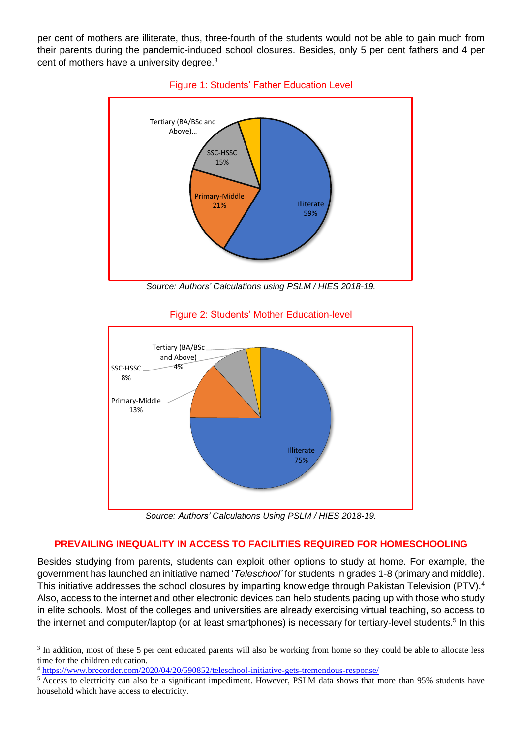per cent of mothers are illiterate, thus, three-fourth of the students would not be able to gain much from their parents during the pandemic-induced school closures. Besides, only 5 per cent fathers and 4 per cent of mothers have a university degree.<sup>3</sup>



Figure 1: Students' Father Education Level

*Source: Authors' Calculations using PSLM / HIES 2018-19.*



Figure 2: Students' Mother Education-level

*Source: Authors' Calculations Using PSLM / HIES 2018-19.*

# **PREVAILING INEQUALITY IN ACCESS TO FACILITIES REQUIRED FOR HOMESCHOOLING**

Besides studying from parents, students can exploit other options to study at home. For example, the government has launched an initiative named '*Teleschool'* for students in grades 1-8 (primary and middle). This initiative addresses the school closures by imparting knowledge through Pakistan Television (PTV).<sup>4</sup> Also, access to the internet and other electronic devices can help students pacing up with those who study in elite schools. Most of the colleges and universities are already exercising virtual teaching, so access to the internet and computer/laptop (or at least smartphones) is necessary for tertiary-level students.<sup>5</sup> In this

<sup>&</sup>lt;sup>3</sup> In addition, most of these 5 per cent educated parents will also be working from home so they could be able to allocate less time for the children education.

<sup>4</sup> <https://www.brecorder.com/2020/04/20/590852/teleschool-initiative-gets-tremendous-response/>

<sup>&</sup>lt;sup>5</sup> Access to electricity can also be a significant impediment. However, PSLM data shows that more than 95% students have household which have access to electricity.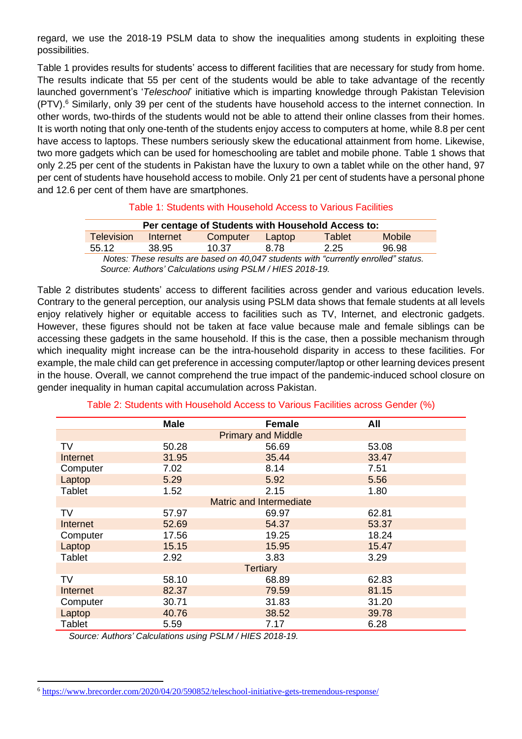regard, we use the 2018-19 PSLM data to show the inequalities among students in exploiting these possibilities.

Table 1 provides results for students' access to different facilities that are necessary for study from home. The results indicate that 55 per cent of the students would be able to take advantage of the recently launched government's '*Teleschool*' initiative which is imparting knowledge through Pakistan Television (PTV). <sup>6</sup> Similarly, only 39 per cent of the students have household access to the internet connection. In other words, two-thirds of the students would not be able to attend their online classes from their homes. It is worth noting that only one-tenth of the students enjoy access to computers at home, while 8.8 per cent have access to laptops. These numbers seriously skew the educational attainment from home. Likewise, two more gadgets which can be used for homeschooling are tablet and mobile phone. Table 1 shows that only 2.25 per cent of the students in Pakistan have the luxury to own a tablet while on the other hand, 97 per cent of students have household access to mobile. Only 21 per cent of students have a personal phone and 12.6 per cent of them have are smartphones.

#### Table 1: Students with Household Access to Various Facilities

| Per centage of Students with Household Access to:                                  |          |          |        |        |               |  |  |
|------------------------------------------------------------------------------------|----------|----------|--------|--------|---------------|--|--|
| <b>Television</b>                                                                  | Internet | Computer | Laptop | Tablet | <b>Mobile</b> |  |  |
| 55.12                                                                              | 38.95    | 10.37    | 8.78   | 2.25   | 96.98         |  |  |
| Notes: Those results are based on 10.017 students with "currently enrolled" status |          |          |        |        |               |  |  |

*Notes: These results are based on 40,047 students with "currently enrolled" status. Source: Authors' Calculations using PSLM / HIES 2018-19.*

Table 2 distributes students' access to different facilities across gender and various education levels. Contrary to the general perception, our analysis using PSLM data shows that female students at all levels enjoy relatively higher or equitable access to facilities such as TV, Internet, and electronic gadgets. However, these figures should not be taken at face value because male and female siblings can be accessing these gadgets in the same household. If this is the case, then a possible mechanism through which inequality might increase can be the intra-household disparity in access to these facilities. For example, the male child can get preference in accessing computer/laptop or other learning devices present in the house. Overall, we cannot comprehend the true impact of the pandemic-induced school closure on gender inequality in human capital accumulation across Pakistan.

|                                | <b>Male</b> | <b>Female</b> | All   |  |  |  |  |
|--------------------------------|-------------|---------------|-------|--|--|--|--|
| <b>Primary and Middle</b>      |             |               |       |  |  |  |  |
| TV                             | 50.28       | 56.69         | 53.08 |  |  |  |  |
| <b>Internet</b>                | 31.95       | 35.44         | 33.47 |  |  |  |  |
| Computer                       | 7.02        | 8.14          | 7.51  |  |  |  |  |
| Laptop                         | 5.29        | 5.92          | 5.56  |  |  |  |  |
| <b>Tablet</b>                  | 1.52        | 2.15          | 1.80  |  |  |  |  |
| <b>Matric and Intermediate</b> |             |               |       |  |  |  |  |
| <b>TV</b>                      | 57.97       | 69.97         | 62.81 |  |  |  |  |
| Internet                       | 52.69       | 54.37         | 53.37 |  |  |  |  |
| Computer                       | 17.56       | 19.25         | 18.24 |  |  |  |  |
| Laptop                         | 15.15       | 15.95         | 15.47 |  |  |  |  |
| <b>Tablet</b>                  | 2.92        | 3.83          | 3.29  |  |  |  |  |
| <b>Tertiary</b>                |             |               |       |  |  |  |  |
| TV                             | 58.10       | 68.89         | 62.83 |  |  |  |  |
| <b>Internet</b>                | 82.37       | 79.59         | 81.15 |  |  |  |  |
| Computer                       | 30.71       | 31.83         | 31.20 |  |  |  |  |
| Laptop                         | 40.76       | 38.52         | 39.78 |  |  |  |  |
| <b>Tablet</b>                  | 5.59        | 7.17          | 6.28  |  |  |  |  |

Table 2: Students with Household Access to Various Facilities across Gender (%)

*Source: Authors' Calculations using PSLM / HIES 2018-19.*

<sup>6</sup> <https://www.brecorder.com/2020/04/20/590852/teleschool-initiative-gets-tremendous-response/>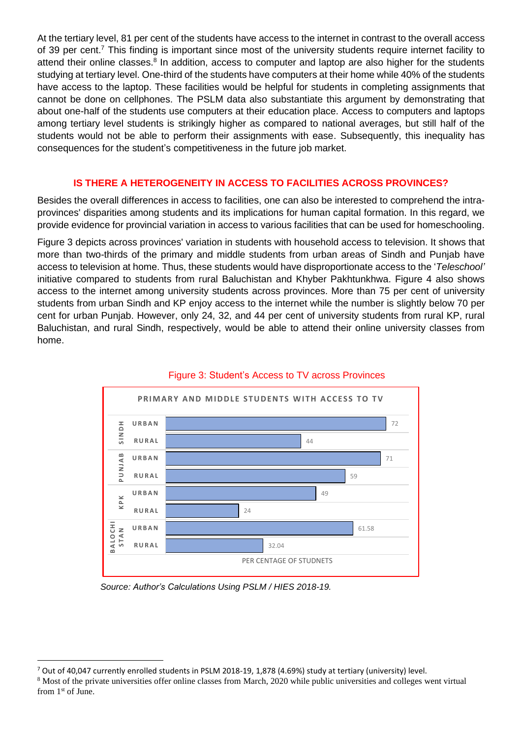At the tertiary level, 81 per cent of the students have access to the internet in contrast to the overall access of 39 per cent.<sup>7</sup> This finding is important since most of the university students require internet facility to attend their online classes.<sup>8</sup> In addition, access to computer and laptop are also higher for the students studying at tertiary level. One-third of the students have computers at their home while 40% of the students have access to the laptop. These facilities would be helpful for students in completing assignments that cannot be done on cellphones. The PSLM data also substantiate this argument by demonstrating that about one-half of the students use computers at their education place. Access to computers and laptops among tertiary level students is strikingly higher as compared to national averages, but still half of the students would not be able to perform their assignments with ease. Subsequently, this inequality has consequences for the student's competitiveness in the future job market.

#### **IS THERE A HETEROGENEITY IN ACCESS TO FACILITIES ACROSS PROVINCES?**

Besides the overall differences in access to facilities, one can also be interested to comprehend the intraprovinces' disparities among students and its implications for human capital formation. In this regard, we provide evidence for provincial variation in access to various facilities that can be used for homeschooling.

Figure 3 depicts across provinces' variation in students with household access to television. It shows that more than two-thirds of the primary and middle students from urban areas of Sindh and Punjab have access to television at home. Thus, these students would have disproportionate access to the '*Teleschool'*  initiative compared to students from rural Baluchistan and Khyber Pakhtunkhwa. Figure 4 also shows access to the internet among university students across provinces. More than 75 per cent of university students from urban Sindh and KP enjoy access to the internet while the number is slightly below 70 per cent for urban Punjab. However, only 24, 32, and 44 per cent of university students from rural KP, rural Baluchistan, and rural Sindh, respectively, would be able to attend their online university classes from home.



### Figure 3: Student's Access to TV across Provinces

*Source: Author's Calculations Using PSLM / HIES 2018-19.*

<sup>&</sup>lt;sup>7</sup> Out of 40,047 currently enrolled students in PSLM 2018-19, 1,878 (4.69%) study at tertiary (university) level.

<sup>&</sup>lt;sup>8</sup> Most of the private universities offer online classes from March, 2020 while public universities and colleges went virtual from 1<sup>st</sup> of June.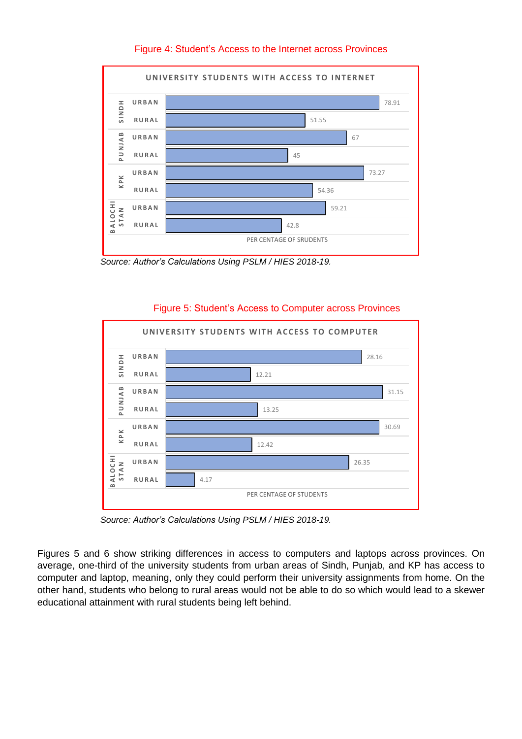

# Figure 4: Student's Access to the Internet across Provinces

 *Source: Author's Calculations Using PSLM / HIES 2018-19.*

#### Figure 5: Student's Access to Computer across Provinces



 *Source: Author's Calculations Using PSLM / HIES 2018-19.*

Figures 5 and 6 show striking differences in access to computers and laptops across provinces. On average, one-third of the university students from urban areas of Sindh, Punjab, and KP has access to computer and laptop, meaning, only they could perform their university assignments from home. On the other hand, students who belong to rural areas would not be able to do so which would lead to a skewer educational attainment with rural students being left behind.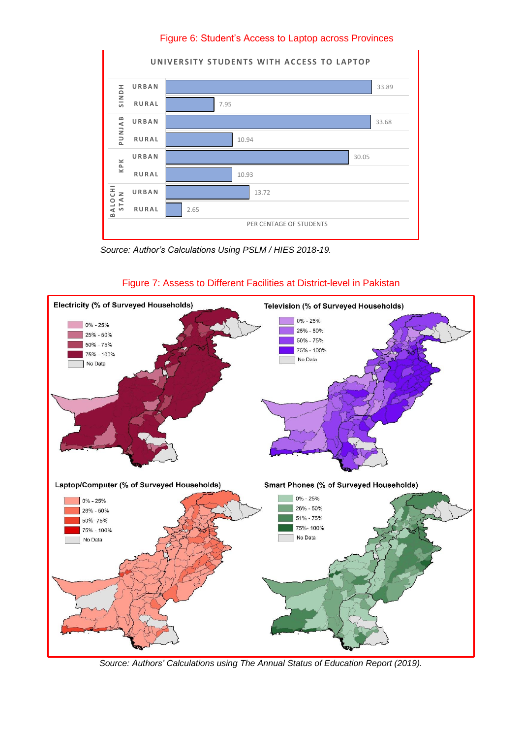Figure 6: Student's Access to Laptop across Provinces



 *Source: Author's Calculations Using PSLM / HIES 2018-19.*



## Figure 7: Assess to Different Facilities at District-level in Pakistan

*Source: Authors' Calculations using The Annual Status of Education Report (2019).*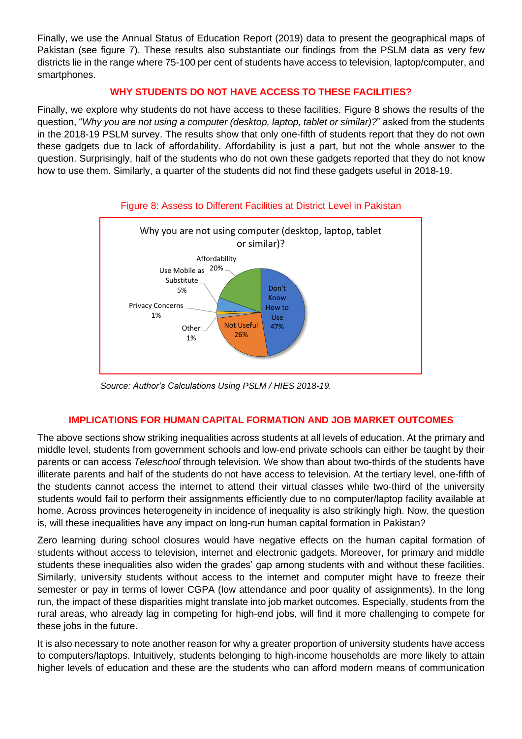Finally, we use the Annual Status of Education Report (2019) data to present the geographical maps of Pakistan (see figure 7). These results also substantiate our findings from the PSLM data as very few districts lie in the range where 75-100 per cent of students have access to television, laptop/computer, and smartphones.

# **WHY STUDENTS DO NOT HAVE ACCESS TO THESE FACILITIES?**

Finally, we explore why students do not have access to these facilities. Figure 8 shows the results of the question, "*Why you are not using a computer (desktop, laptop, tablet or similar)?*" asked from the students in the 2018-19 PSLM survey. The results show that only one-fifth of students report that they do not own these gadgets due to lack of affordability. Affordability is just a part, but not the whole answer to the question. Surprisingly, half of the students who do not own these gadgets reported that they do not know how to use them. Similarly, a quarter of the students did not find these gadgets useful in 2018-19.



#### Figure 8: Assess to Different Facilities at District Level in Pakistan

*Source: Author's Calculations Using PSLM / HIES 2018-19.*

#### **IMPLICATIONS FOR HUMAN CAPITAL FORMATION AND JOB MARKET OUTCOMES**

The above sections show striking inequalities across students at all levels of education. At the primary and middle level, students from government schools and low-end private schools can either be taught by their parents or can access *Teleschool* through television. We show than about two-thirds of the students have illiterate parents and half of the students do not have access to television. At the tertiary level, one-fifth of the students cannot access the internet to attend their virtual classes while two-third of the university students would fail to perform their assignments efficiently due to no computer/laptop facility available at home. Across provinces heterogeneity in incidence of inequality is also strikingly high. Now, the question is, will these inequalities have any impact on long-run human capital formation in Pakistan?

Zero learning during school closures would have negative effects on the human capital formation of students without access to television, internet and electronic gadgets. Moreover, for primary and middle students these inequalities also widen the grades' gap among students with and without these facilities. Similarly, university students without access to the internet and computer might have to freeze their semester or pay in terms of lower CGPA (low attendance and poor quality of assignments). In the long run, the impact of these disparities might translate into job market outcomes. Especially, students from the rural areas, who already lag in competing for high-end jobs, will find it more challenging to compete for these jobs in the future.

It is also necessary to note another reason for why a greater proportion of university students have access to computers/laptops. Intuitively, students belonging to high-income households are more likely to attain higher levels of education and these are the students who can afford modern means of communication